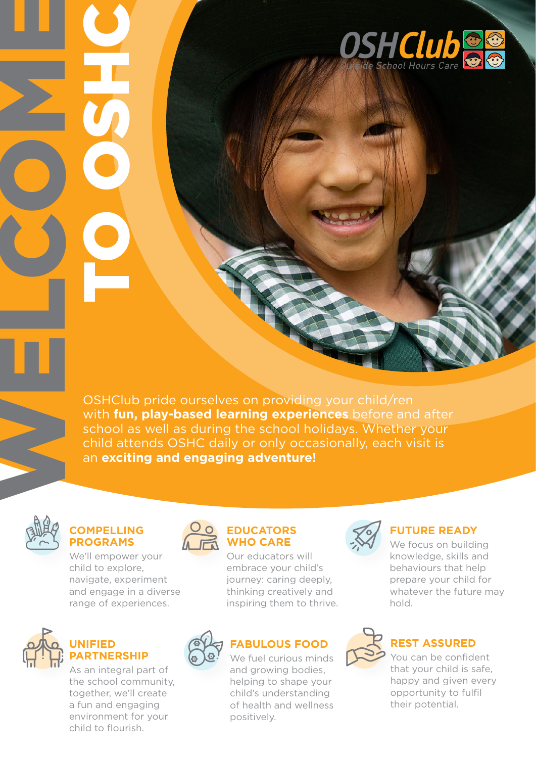

OSHClub pride ourselves on providing your child/ren with **fun, play-based learning experiences** before and after school as well as during the school holidays. Whether your child attends OSHC daily or only occasionally, each visit is an **exciting and engaging adventure!**



WELCOMES

Oran Park OSHClub

**COSHC** 

## **COMPELLING PROGRAMS**

We'll empower your child to explore, navigate, experiment and engage in a diverse range of experiences.



## **UNIFIED PARTNERSHIP**

As an integral part of the school community, together, we'll create a fun and engaging environment for your child to flourish.



## **EDUCATORS WHO CARE**

Our educators will embrace your child's journey: caring deeply, thinking creatively and inspiring them to thrive.



## **FABULOUS FOOD**

We fuel curious minds and growing bodies, helping to shape your child's understanding of health and wellness positively.



## **FUTURE READY**

We focus on building knowledge, skills and behaviours that help prepare your child for whatever the future may hold.



## **REST ASSURED**

You can be confident that your child is safe, happy and given every opportunity to fulfil their potential.